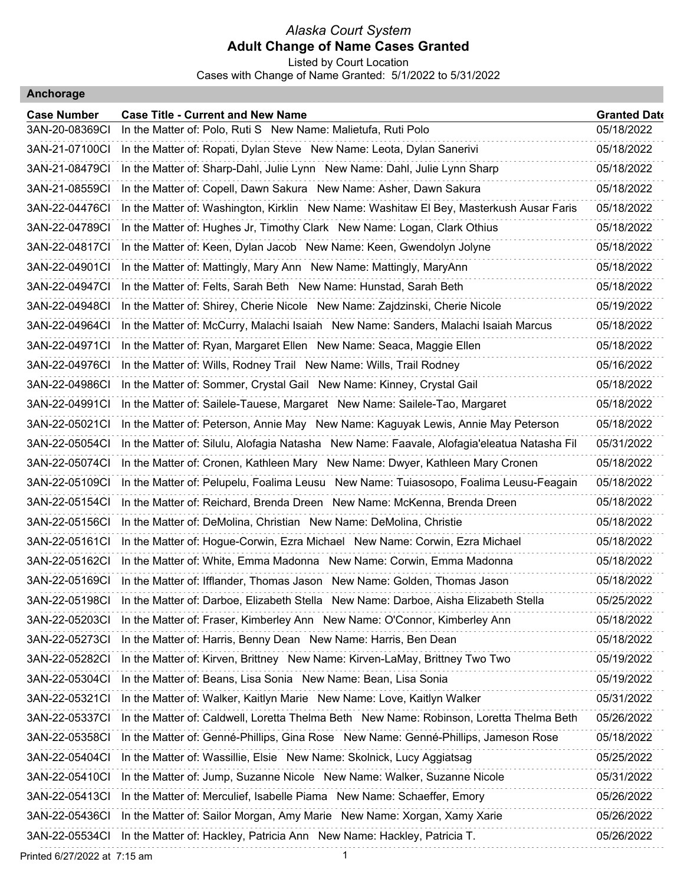Listed by Court Location Cases with Change of Name Granted: 5/1/2022 to 5/31/2022

#### **Anchorage**

| <b>Case Number</b> | <b>Case Title - Current and New Name</b>                                                   | <b>Granted Date</b> |
|--------------------|--------------------------------------------------------------------------------------------|---------------------|
| 3AN-20-08369CI     | In the Matter of: Polo, Ruti S New Name: Malietufa, Ruti Polo                              | 05/18/2022          |
| 3AN-21-07100Cl     | In the Matter of: Ropati, Dylan Steve New Name: Leota, Dylan Sanerivi                      | 05/18/2022          |
| 3AN-21-08479CI     | In the Matter of: Sharp-Dahl, Julie Lynn New Name: Dahl, Julie Lynn Sharp                  | 05/18/2022          |
| 3AN-21-08559CI     | In the Matter of: Copell, Dawn Sakura New Name: Asher, Dawn Sakura                         | 05/18/2022          |
| 3AN-22-04476CI     | In the Matter of: Washington, Kirklin New Name: Washitaw El Bey, Masterkush Ausar Faris    | 05/18/2022          |
| 3AN-22-04789CI     | In the Matter of: Hughes Jr, Timothy Clark New Name: Logan, Clark Othius                   | 05/18/2022          |
| 3AN-22-04817CI     | In the Matter of: Keen, Dylan Jacob New Name: Keen, Gwendolyn Jolyne                       | 05/18/2022          |
| 3AN-22-04901CI     | In the Matter of: Mattingly, Mary Ann New Name: Mattingly, MaryAnn                         | 05/18/2022          |
| 3AN-22-04947CI     | In the Matter of: Felts, Sarah Beth New Name: Hunstad, Sarah Beth                          | 05/18/2022          |
| 3AN-22-04948CI     | In the Matter of: Shirey, Cherie Nicole New Name: Zajdzinski, Cherie Nicole                | 05/19/2022          |
| 3AN-22-04964Cl     | In the Matter of: McCurry, Malachi Isaiah New Name: Sanders, Malachi Isaiah Marcus         | 05/18/2022          |
| 3AN-22-04971Cl     | In the Matter of: Ryan, Margaret Ellen New Name: Seaca, Maggie Ellen                       | 05/18/2022          |
| 3AN-22-04976CI     | In the Matter of: Wills, Rodney Trail New Name: Wills, Trail Rodney                        | 05/16/2022          |
| 3AN-22-04986CI     | In the Matter of: Sommer, Crystal Gail New Name: Kinney, Crystal Gail                      | 05/18/2022          |
| 3AN-22-04991CI     | In the Matter of: Sailele-Tauese, Margaret New Name: Sailele-Tao, Margaret                 | 05/18/2022          |
| 3AN-22-05021CI     | In the Matter of: Peterson, Annie May New Name: Kaguyak Lewis, Annie May Peterson          | 05/18/2022          |
| 3AN-22-05054Cl     | In the Matter of: Silulu, Alofagia Natasha New Name: Faavale, Alofagia'eleatua Natasha Fil | 05/31/2022          |
| 3AN-22-05074Cl     | In the Matter of: Cronen, Kathleen Mary New Name: Dwyer, Kathleen Mary Cronen              | 05/18/2022          |
| 3AN-22-05109CI     | In the Matter of: Pelupelu, Foalima Leusu New Name: Tuiasosopo, Foalima Leusu-Feagain      | 05/18/2022          |
| 3AN-22-05154Cl     | In the Matter of: Reichard, Brenda Dreen New Name: McKenna, Brenda Dreen                   | 05/18/2022          |
| 3AN-22-05156CI     | In the Matter of: DeMolina, Christian New Name: DeMolina, Christie                         | 05/18/2022          |
| 3AN-22-05161CI     | In the Matter of: Hogue-Corwin, Ezra Michael New Name: Corwin, Ezra Michael                | 05/18/2022          |
| 3AN-22-05162CI     | In the Matter of: White, Emma Madonna New Name: Corwin, Emma Madonna                       | 05/18/2022          |
| 3AN-22-05169CI     | In the Matter of: Ifflander, Thomas Jason New Name: Golden, Thomas Jason                   | 05/18/2022          |
| 3AN-22-05198CI     | In the Matter of: Darboe, Elizabeth Stella New Name: Darboe, Aisha Elizabeth Stella        | 05/25/2022          |
| 3AN-22-05203CI     | In the Matter of: Fraser, Kimberley Ann New Name: O'Connor, Kimberley Ann                  | 05/18/2022          |
| 3AN-22-05273CI     | In the Matter of: Harris, Benny Dean New Name: Harris, Ben Dean                            | 05/18/2022          |
| 3AN-22-05282CI     | In the Matter of: Kirven, Brittney New Name: Kirven-LaMay, Brittney Two Two                | 05/19/2022          |
| 3AN-22-05304CI     | In the Matter of: Beans, Lisa Sonia New Name: Bean, Lisa Sonia                             | 05/19/2022          |
| 3AN-22-05321CI     | In the Matter of: Walker, Kaitlyn Marie New Name: Love, Kaitlyn Walker                     | 05/31/2022          |
| 3AN-22-05337CI     | In the Matter of: Caldwell, Loretta Thelma Beth New Name: Robinson, Loretta Thelma Beth    | 05/26/2022          |
| 3AN-22-05358CI     | In the Matter of: Genné-Phillips, Gina Rose New Name: Genné-Phillips, Jameson Rose         | 05/18/2022          |
| 3AN-22-05404Cl     | In the Matter of: Wassillie, Elsie New Name: Skolnick, Lucy Aggiatsag                      | 05/25/2022          |
| 3AN-22-05410Cl     | In the Matter of: Jump, Suzanne Nicole New Name: Walker, Suzanne Nicole                    | 05/31/2022          |
| 3AN-22-05413CI     | In the Matter of: Merculief, Isabelle Piama New Name: Schaeffer, Emory                     | 05/26/2022          |
| 3AN-22-05436CI     | In the Matter of: Sailor Morgan, Amy Marie New Name: Xorgan, Xamy Xarie                    | 05/26/2022          |
| 3AN-22-05534CI     | In the Matter of: Hackley, Patricia Ann New Name: Hackley, Patricia T.                     | 05/26/2022          |
|                    |                                                                                            |                     |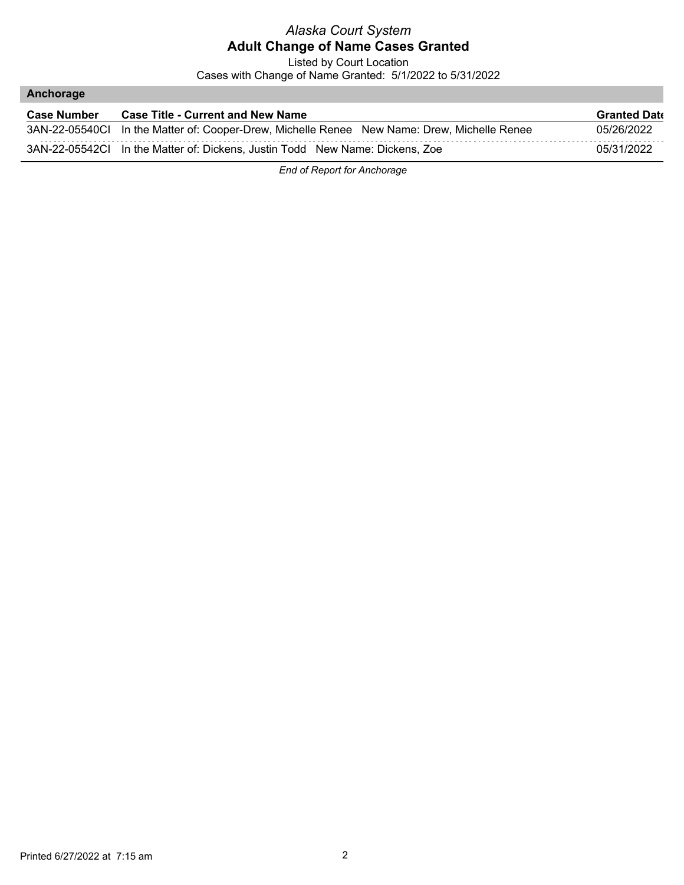Listed by Court Location

Cases with Change of Name Granted: 5/1/2022 to 5/31/2022

#### **Anchorage**

| <b>Case Number</b> | <b>Case Title - Current and New Name</b>                                                    | <b>Granted Date</b> |
|--------------------|---------------------------------------------------------------------------------------------|---------------------|
|                    | 3AN-22-05540Cl In the Matter of: Cooper-Drew, Michelle Renee New Name: Drew, Michelle Renee | 05/26/2022          |
|                    | 3AN-22-05542Cl In the Matter of: Dickens, Justin Todd New Name: Dickens, Zoe                | 05/31/2022          |

*End of Report for Anchorage*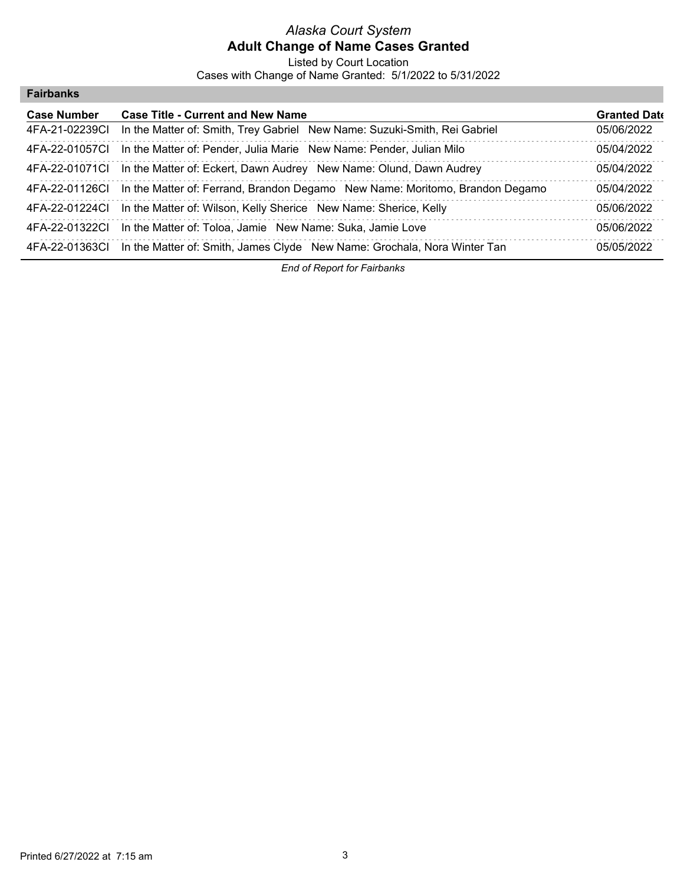Listed by Court Location Cases with Change of Name Granted: 5/1/2022 to 5/31/2022

| <b>Fairbanks</b> |  |  |  |
|------------------|--|--|--|
|------------------|--|--|--|

| <b>Case Number</b> | <b>Case Title - Current and New Name</b>                                                    | <b>Granted Date</b> |
|--------------------|---------------------------------------------------------------------------------------------|---------------------|
| 4FA-21-02239CI     | In the Matter of: Smith, Trey Gabriel New Name: Suzuki-Smith, Rei Gabriel                   | 05/06/2022          |
| 4FA-22-01057CL     | In the Matter of: Pender, Julia Marie New Name: Pender, Julian Milo                         | 05/04/2022          |
|                    | 4FA-22-01071Cl In the Matter of: Eckert, Dawn Audrey New Name: Olund, Dawn Audrey           | 05/04/2022          |
|                    | 4FA-22-01126Cl In the Matter of: Ferrand, Brandon Degamo New Name: Moritomo, Brandon Degamo | 05/04/2022          |
|                    | 4FA-22-01224Cl In the Matter of: Wilson, Kelly Sherice New Name: Sherice, Kelly             | 05/06/2022          |
| 4FA-22-01322CI     | In the Matter of: Toloa, Jamie New Name: Suka, Jamie Love                                   | 05/06/2022          |
|                    | 4FA-22-01363Cl In the Matter of: Smith, James Clyde New Name: Grochala, Nora Winter Tan     | 05/05/2022          |

*End of Report for Fairbanks*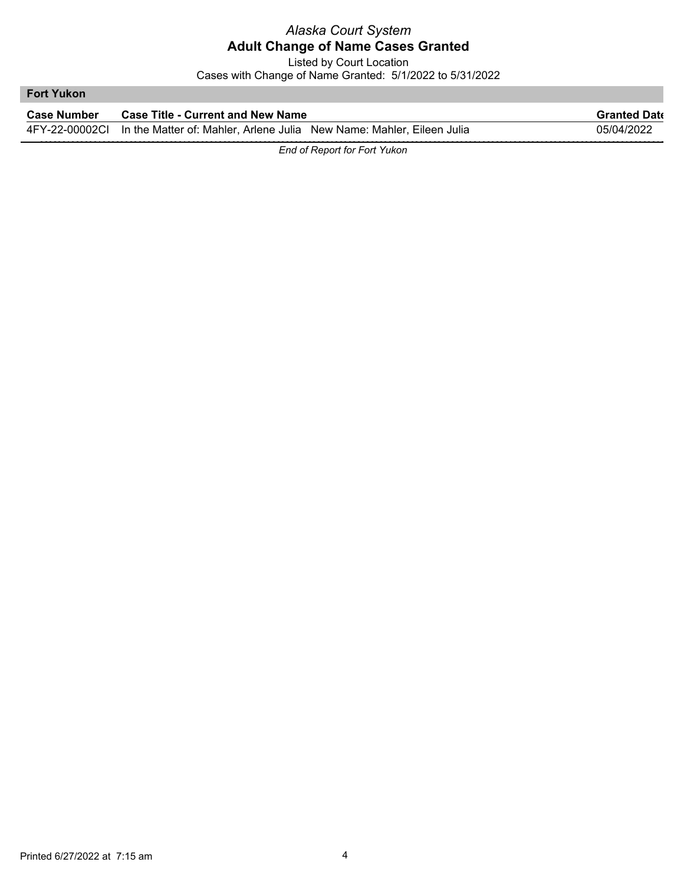Listed by Court Location

Cases with Change of Name Granted: 5/1/2022 to 5/31/2022

#### **Fort Yukon**

| <b>Case Number</b> | <b>Case Title - Current and New Name</b>                                             | <b>Granted Date</b> |
|--------------------|--------------------------------------------------------------------------------------|---------------------|
|                    | 4FY-22-00002CI In the Matter of: Mahler, Arlene Julia New Name: Mahler, Eileen Julia | 05/04/2022          |

*End of Report for Fort Yukon*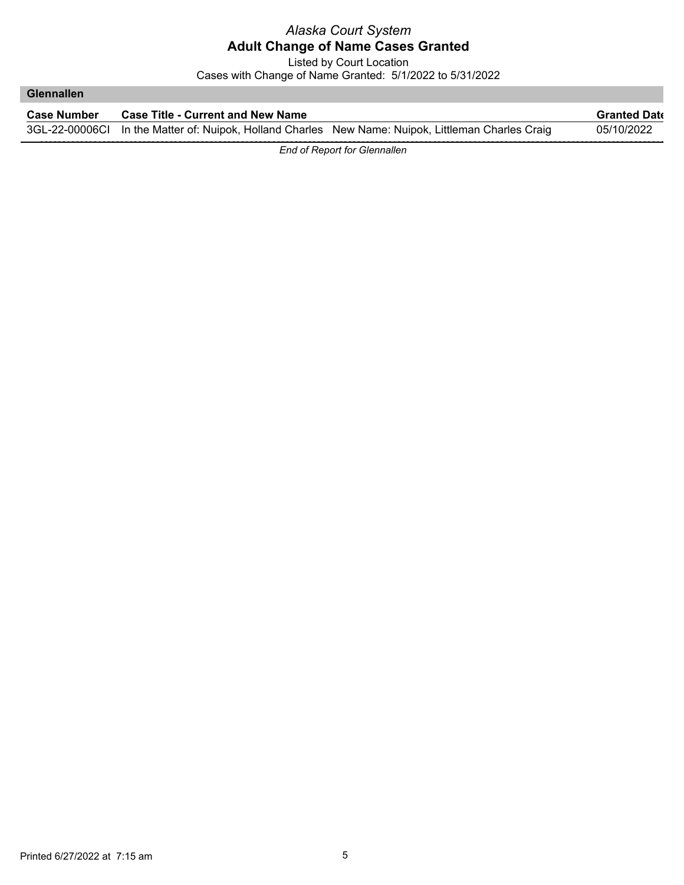Listed by Court Location

Cases with Change of Name Granted: 5/1/2022 to 5/31/2022

#### **Glennallen**

| <b>Case Number</b> | <b>Case Title - Current and New Name</b> |                                                                                                    | <b>Granted Date</b> |
|--------------------|------------------------------------------|----------------------------------------------------------------------------------------------------|---------------------|
|                    |                                          | 3GL-22-00006Cl In the Matter of: Nuipok, Holland Charles New Name: Nuipok, Littleman Charles Craig | 05/10/2022          |

*End of Report for Glennallen*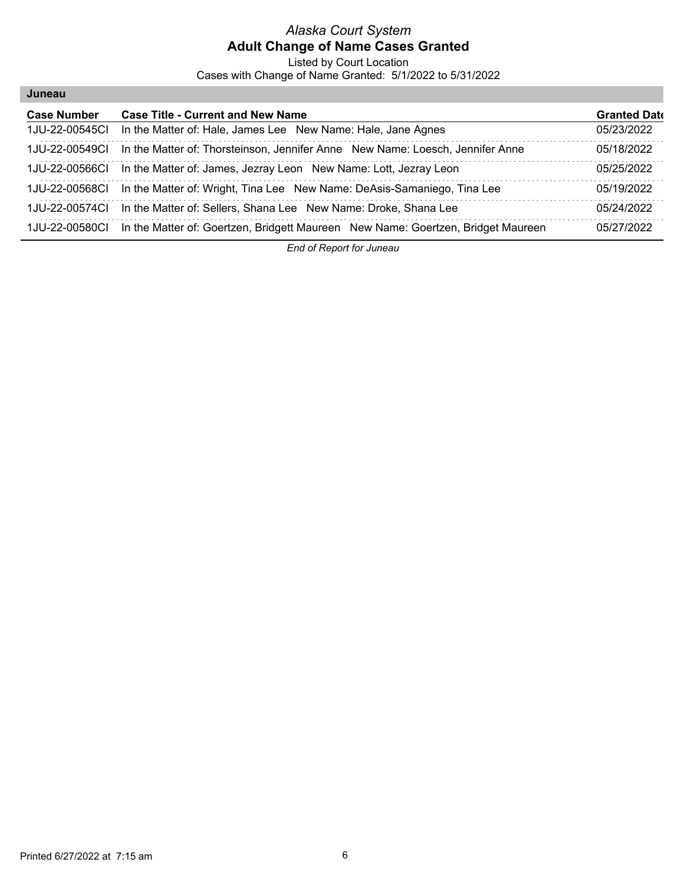Listed by Court Location

Cases with Change of Name Granted: 5/1/2022 to 5/31/2022

| Juneau             |                                                                                                 |                     |
|--------------------|-------------------------------------------------------------------------------------------------|---------------------|
| <b>Case Number</b> | <b>Case Title - Current and New Name</b>                                                        | <b>Granted Date</b> |
| 1.JU-22-00545CL    | In the Matter of: Hale, James Lee New Name: Hale, Jane Agnes                                    | 05/23/2022          |
| 1JU-22-00549CI     | In the Matter of: Thorsteinson, Jennifer Anne New Name: Loesch, Jennifer Anne                   | 05/18/2022          |
| 1JU-22-00566CI     | In the Matter of: James, Jezray Leon New Name: Lott, Jezray Leon                                | 05/25/2022          |
| 1JU-22-00568CI     | In the Matter of: Wright, Tina Lee New Name: DeAsis-Samaniego, Tina Lee                         | 05/19/2022          |
| 1.IU-22-00574CL    | In the Matter of: Sellers, Shana Lee New Name: Droke, Shana Lee                                 | 05/24/2022          |
|                    | 1JU-22-00580Cl In the Matter of: Goertzen, Bridgett Maureen New Name: Goertzen, Bridget Maureen | 05/27/2022          |

*End of Report for Juneau*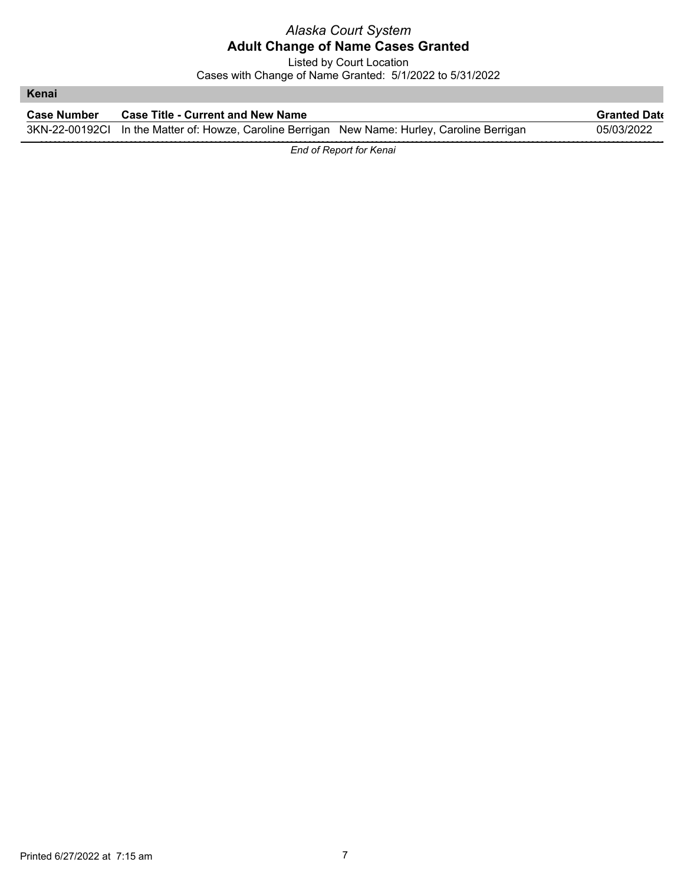Listed by Court Location Cases with Change of Name Granted: 5/1/2022 to 5/31/2022

| Kenai       |                                                                                               |                     |
|-------------|-----------------------------------------------------------------------------------------------|---------------------|
| Case Number | <b>Case Title - Current and New Name</b>                                                      | <b>Granted Date</b> |
|             | 3KN-22-00192Cl In the Matter of: Howze, Caroline Berrigan New Name: Hurley, Caroline Berrigan | 05/03/2022          |

*End of Report for Kenai*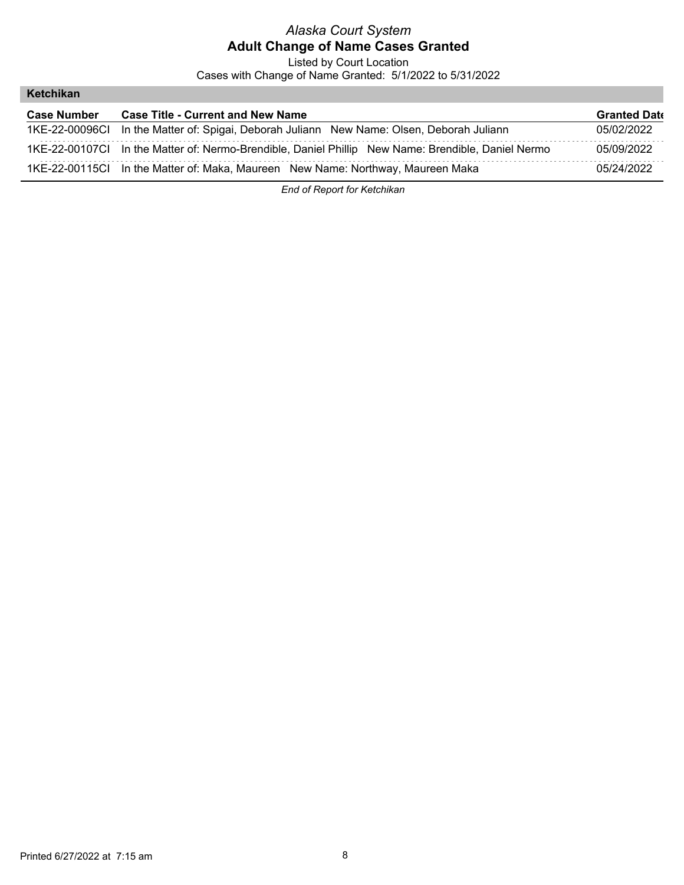Listed by Court Location

Cases with Change of Name Granted: 5/1/2022 to 5/31/2022

#### **Ketchikan**

| <b>Case Number</b> | <b>Case Title - Current and New Name</b>                                                           | <b>Granted Date</b> |
|--------------------|----------------------------------------------------------------------------------------------------|---------------------|
|                    | 1KE-22-00096Cl In the Matter of: Spigai, Deborah Juliann New Name: Olsen, Deborah Juliann          | 05/02/2022          |
|                    | 1KE-22-00107Cl In the Matter of: Nermo-Brendible, Daniel Phillip New Name: Brendible, Daniel Nermo | 05/09/2022          |
|                    | 1KE-22-00115Cl In the Matter of: Maka, Maureen New Name: Northway, Maureen Maka                    | 05/24/2022          |

*End of Report for Ketchikan*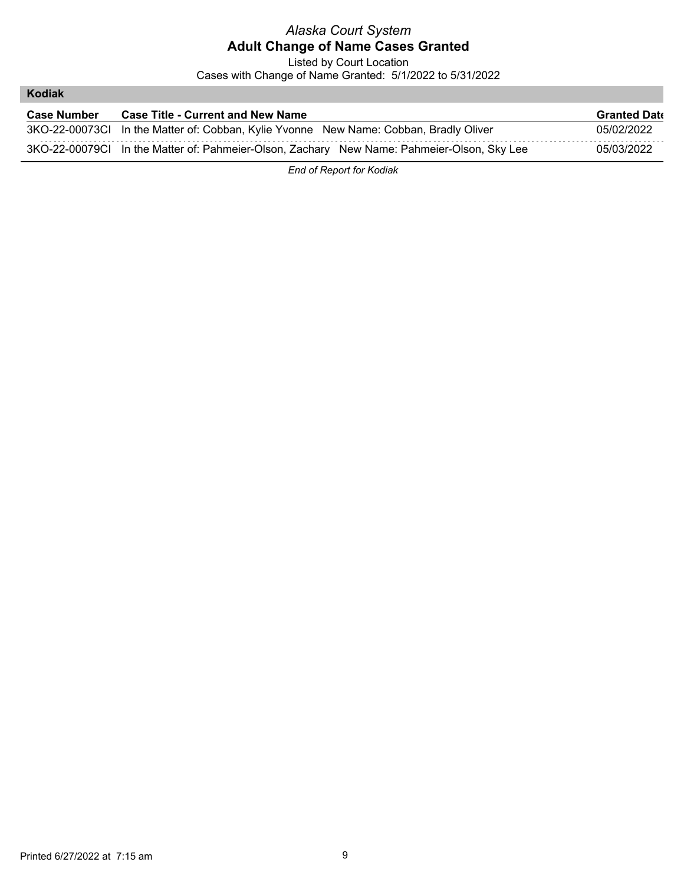Listed by Court Location

Cases with Change of Name Granted: 5/1/2022 to 5/31/2022

#### **Kodiak**

| <b>Case Number</b> | <b>Case Title - Current and New Name</b>                                                   | <b>Granted Date</b> |
|--------------------|--------------------------------------------------------------------------------------------|---------------------|
|                    | 3KO-22-00073Cl In the Matter of: Cobban, Kylie Yvonne New Name: Cobban, Bradly Oliver      | 05/02/2022          |
|                    | 3KO-22-00079Cl In the Matter of: Pahmeier-Olson, Zachary New Name: Pahmeier-Olson, Sky Lee | 05/03/2022          |

*End of Report for Kodiak*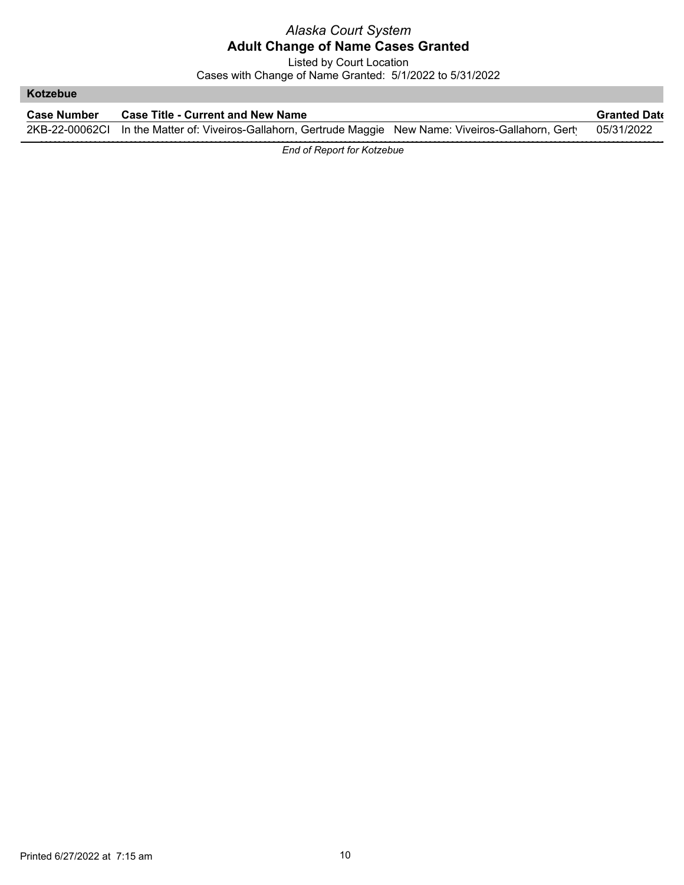Listed by Court Location

Cases with Change of Name Granted: 5/1/2022 to 5/31/2022

#### **Kotzebue**

| <b>Case Number</b> | <b>Case Title - Current and New Name</b>                                                                           | <b>Granted Date</b> |
|--------------------|--------------------------------------------------------------------------------------------------------------------|---------------------|
|                    | 2KB-22-00062Cl In the Matter of: Viveiros-Gallahorn, Gertrude Maggie New Name: Viveiros-Gallahorn, Gert 05/31/2022 |                     |

*End of Report for Kotzebue*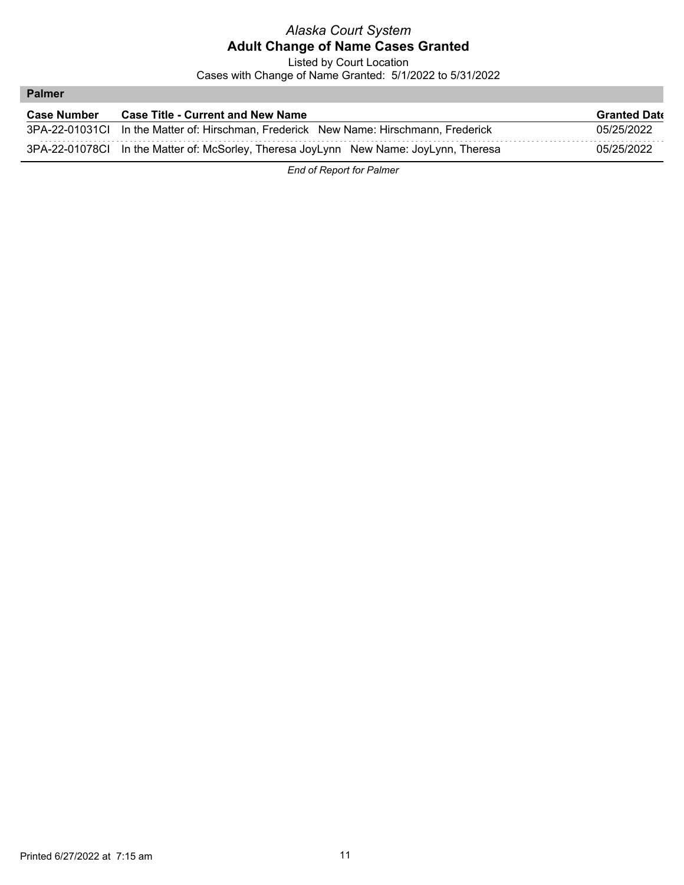Listed by Court Location

Cases with Change of Name Granted: 5/1/2022 to 5/31/2022

#### **Palmer**

| <b>Case Number</b> | <b>Case Title - Current and New Name</b>                                              | <b>Granted Date</b> |
|--------------------|---------------------------------------------------------------------------------------|---------------------|
|                    | 3PA-22-01031Cl In the Matter of: Hirschman, Frederick New Name: Hirschmann, Frederick | 05/25/2022          |
|                    | 3PA-22-01078Cl In the Matter of: McSorley, Theresa JoyLynn New Name: JoyLynn, Theresa | 05/25/2022          |

*End of Report for Palmer*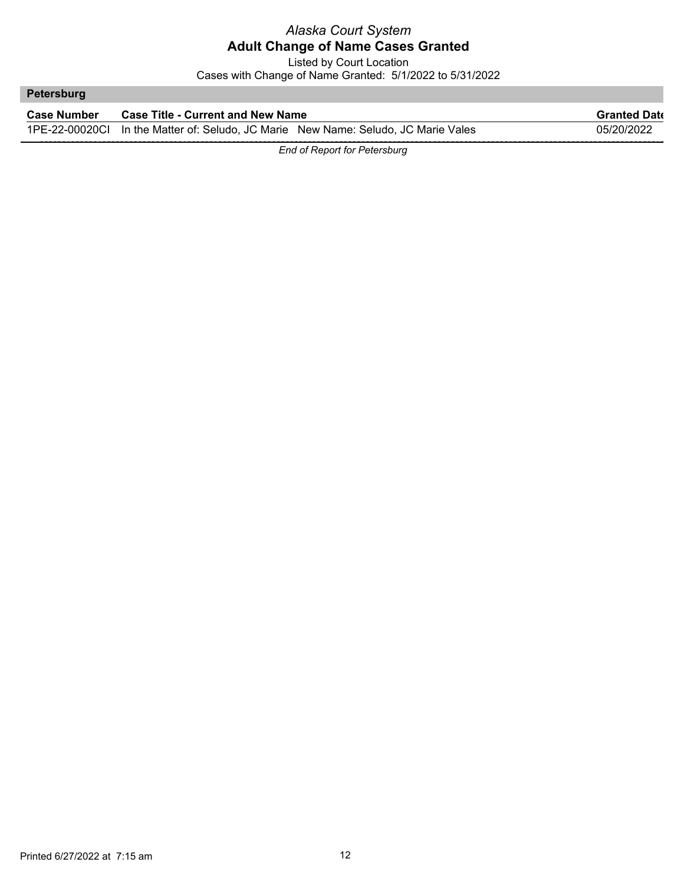Listed by Court Location Cases with Change of Name Granted: 5/1/2022 to 5/31/2022

# **Petersburg Case Number Case Title - Current and New Name Granted Date Granted Date** 1PE-22-00020CI In the Matter of: Seludo, JC Marie New Name: Seludo, JC Marie Vales 05/20/2022

*End of Report for Petersburg*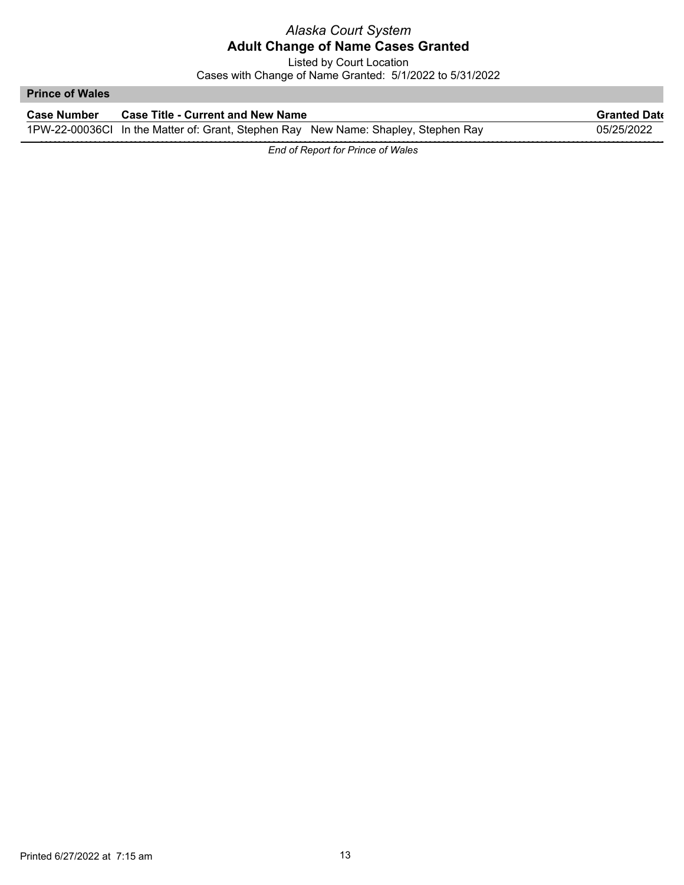Listed by Court Location

Cases with Change of Name Granted: 5/1/2022 to 5/31/2022

#### **Prince of Wales**

| <b>Case Number</b> | <b>Case Title - Current and New Name</b>                                           | <b>Granted Date</b> |
|--------------------|------------------------------------------------------------------------------------|---------------------|
|                    | 1PW-22-00036Cl In the Matter of: Grant, Stephen Ray New Name: Shapley, Stephen Ray | 05/25/2022          |

*End of Report for Prince of Wales*